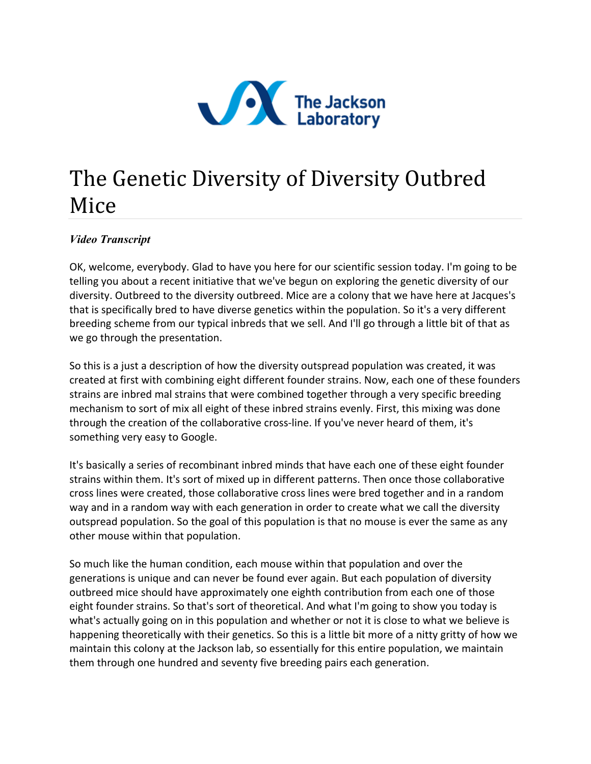

## The Genetic Diversity of Diversity Outbred Mice

## *Video Transcript*

OK, welcome, everybody. Glad to have you here for our scientific session today. I'm going to be telling you about a recent initiative that we've begun on exploring the genetic diversity of our diversity. Outbreed to the diversity outbreed. Mice are a colony that we have here at Jacques's that is specifically bred to have diverse genetics within the population. So it's a very different breeding scheme from our typical inbreds that we sell. And I'll go through a little bit of that as we go through the presentation.

So this is a just a description of how the diversity outspread population was created, it was created at first with combining eight different founder strains. Now, each one of these founders strains are inbred mal strains that were combined together through a very specific breeding mechanism to sort of mix all eight of these inbred strains evenly. First, this mixing was done through the creation of the collaborative cross-line. If you've never heard of them, it's something very easy to Google.

It's basically a series of recombinant inbred minds that have each one of these eight founder strains within them. It's sort of mixed up in different patterns. Then once those collaborative cross lines were created, those collaborative cross lines were bred together and in a random way and in a random way with each generation in order to create what we call the diversity outspread population. So the goal of this population is that no mouse is ever the same as any other mouse within that population.

So much like the human condition, each mouse within that population and over the generations is unique and can never be found ever again. But each population of diversity outbreed mice should have approximately one eighth contribution from each one of those eight founder strains. So that's sort of theoretical. And what I'm going to show you today is what's actually going on in this population and whether or not it is close to what we believe is happening theoretically with their genetics. So this is a little bit more of a nitty gritty of how we maintain this colony at the Jackson lab, so essentially for this entire population, we maintain them through one hundred and seventy five breeding pairs each generation.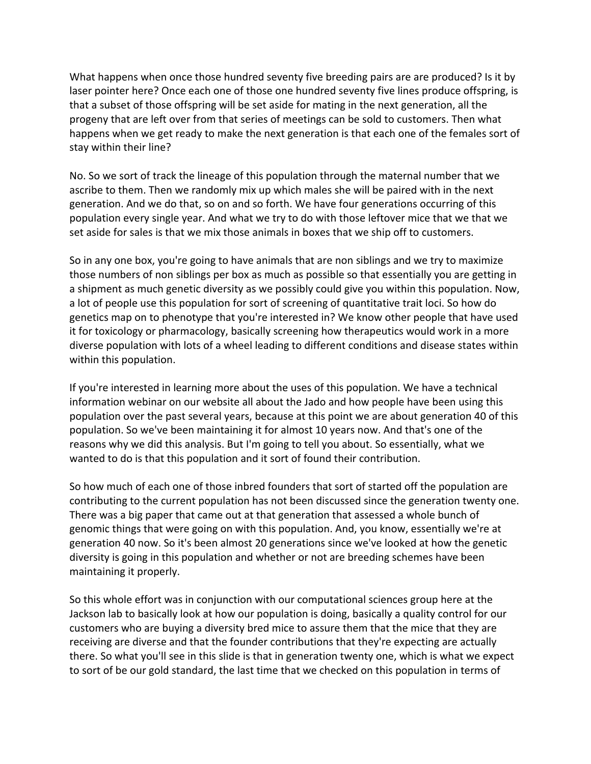What happens when once those hundred seventy five breeding pairs are are produced? Is it by laser pointer here? Once each one of those one hundred seventy five lines produce offspring, is that a subset of those offspring will be set aside for mating in the next generation, all the progeny that are left over from that series of meetings can be sold to customers. Then what happens when we get ready to make the next generation is that each one of the females sort of stay within their line?

No. So we sort of track the lineage of this population through the maternal number that we ascribe to them. Then we randomly mix up which males she will be paired with in the next generation. And we do that, so on and so forth. We have four generations occurring of this population every single year. And what we try to do with those leftover mice that we that we set aside for sales is that we mix those animals in boxes that we ship off to customers.

So in any one box, you're going to have animals that are non siblings and we try to maximize those numbers of non siblings per box as much as possible so that essentially you are getting in a shipment as much genetic diversity as we possibly could give you within this population. Now, a lot of people use this population for sort of screening of quantitative trait loci. So how do genetics map on to phenotype that you're interested in? We know other people that have used it for toxicology or pharmacology, basically screening how therapeutics would work in a more diverse population with lots of a wheel leading to different conditions and disease states within within this population.

If you're interested in learning more about the uses of this population. We have a technical information webinar on our website all about the Jado and how people have been using this population over the past several years, because at this point we are about generation 40 of this population. So we've been maintaining it for almost 10 years now. And that's one of the reasons why we did this analysis. But I'm going to tell you about. So essentially, what we wanted to do is that this population and it sort of found their contribution.

So how much of each one of those inbred founders that sort of started off the population are contributing to the current population has not been discussed since the generation twenty one. There was a big paper that came out at that generation that assessed a whole bunch of genomic things that were going on with this population. And, you know, essentially we're at generation 40 now. So it's been almost 20 generations since we've looked at how the genetic diversity is going in this population and whether or not are breeding schemes have been maintaining it properly.

So this whole effort was in conjunction with our computational sciences group here at the Jackson lab to basically look at how our population is doing, basically a quality control for our customers who are buying a diversity bred mice to assure them that the mice that they are receiving are diverse and that the founder contributions that they're expecting are actually there. So what you'll see in this slide is that in generation twenty one, which is what we expect to sort of be our gold standard, the last time that we checked on this population in terms of